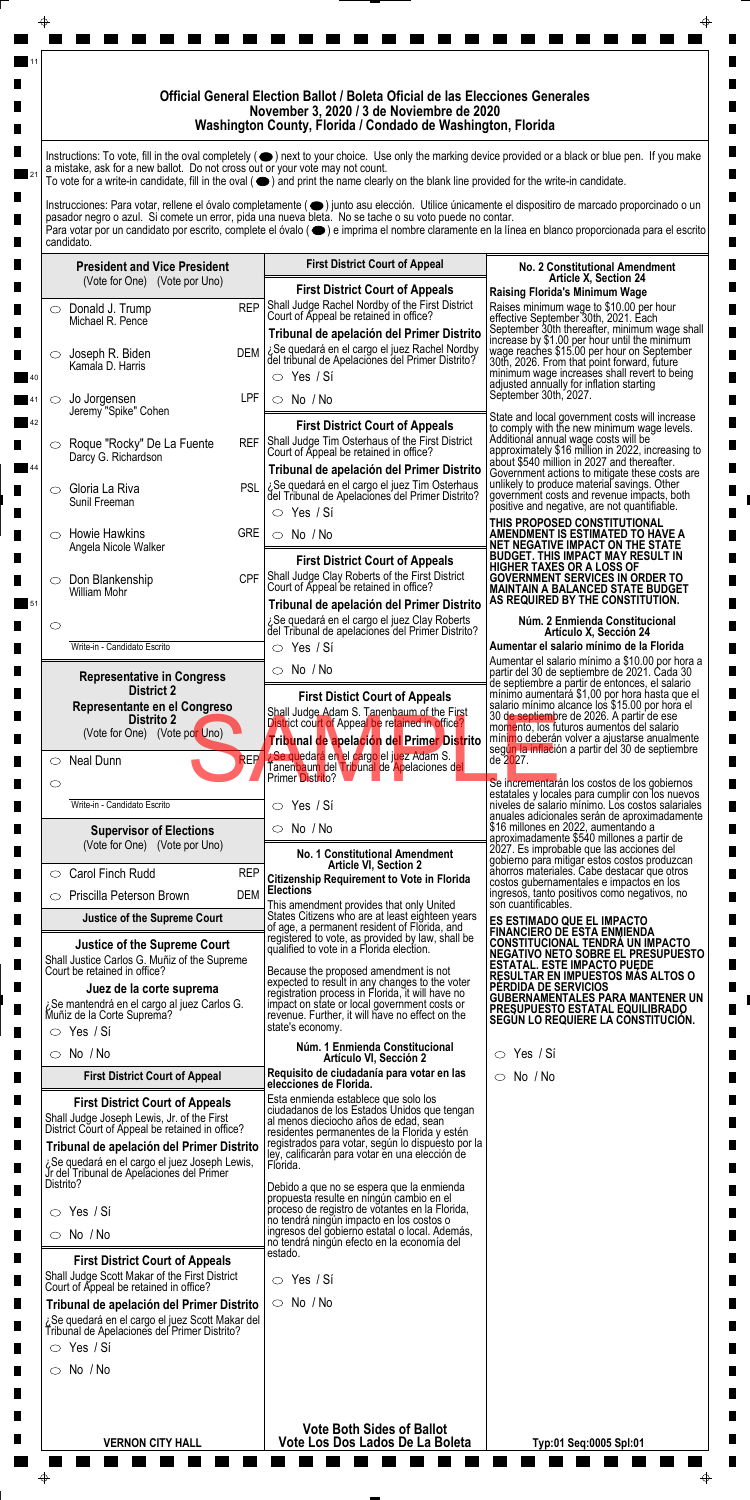|                    |                                                                                                                                                                                                                                                  |            | Official General Election Ballot / Boleta Oficial de las Elecciones Generales<br>November 3, 2020 / 3 de Noviembre de 2020<br>Washington County, Florida / Condado de Washington, Florida                                                                                                                                                                                                                                                                                                                                                                                         |                                                                                                                                                                                                                                                                                                                                                                                        |
|--------------------|--------------------------------------------------------------------------------------------------------------------------------------------------------------------------------------------------------------------------------------------------|------------|-----------------------------------------------------------------------------------------------------------------------------------------------------------------------------------------------------------------------------------------------------------------------------------------------------------------------------------------------------------------------------------------------------------------------------------------------------------------------------------------------------------------------------------------------------------------------------------|----------------------------------------------------------------------------------------------------------------------------------------------------------------------------------------------------------------------------------------------------------------------------------------------------------------------------------------------------------------------------------------|
|                    | a mistake, ask for a new ballot. Do not cross out or your vote may not count.                                                                                                                                                                    |            | Instructions: To vote, fill in the oval completely (O) next to your choice. Use only the marking device provided or a black or blue pen. If you make<br>To vote for a write-in candidate, fill in the oval $(\bullet)$ and print the name clearly on the blank line provided for the write-in candidate.<br>Instrucciones: Para votar, rellene el óvalo completamente ( $\bigcirc$ ) junto asu elección. Utilice únicamente el dispositiro de marcado proporcinado o un<br>pasador negro o azul. Si comete un error, pida una nueva bleta. No se tache o su voto puede no contar. |                                                                                                                                                                                                                                                                                                                                                                                        |
|                    | candidato.                                                                                                                                                                                                                                       |            | Para votar por un candidato por escrito, complete el óvalo (●) e imprima el nombre claramente en la línea en blanco proporcionada para el escrito                                                                                                                                                                                                                                                                                                                                                                                                                                 |                                                                                                                                                                                                                                                                                                                                                                                        |
|                    | <b>President and Vice President</b><br>(Vote for One) (Vote por Uno)                                                                                                                                                                             |            | <b>First District Court of Appeal</b>                                                                                                                                                                                                                                                                                                                                                                                                                                                                                                                                             | <b>No. 2 Constitutional Amendment</b><br><b>Article X, Section 24</b>                                                                                                                                                                                                                                                                                                                  |
|                    | $\circ$ Donald J. Trump<br>Michael R. Pence                                                                                                                                                                                                      | <b>REP</b> | <b>First District Court of Appeals</b><br>Shall Judge Rachel Nordby of the First District<br>Court of Appeal be retained in office?                                                                                                                                                                                                                                                                                                                                                                                                                                               | <b>Raising Florida's Minimum Wage</b><br>Raises minimum wage to \$10.00 per hour<br>effective September 30th, 2021. Each                                                                                                                                                                                                                                                               |
| $\bigcirc$         | Joseph R. Biden<br>Kamala D. Harris                                                                                                                                                                                                              | <b>DEM</b> | Tribunal de apelación del Primer Distrito<br>¿Se quedará en el cargo el juez Rachel Nordby<br>del tribunal de Apelaciones del Primer Distrito?<br>$\circ$ Yes / Si                                                                                                                                                                                                                                                                                                                                                                                                                | September 30th thereafter, minimum wage shall<br>increase by \$1.00 per hour until the minimum<br>wage reaches \$15.00 per hour on September<br>30th, 2026. From that point forward, future<br>minimum wage increases shall revert to being                                                                                                                                            |
| ◯                  | Jo Jorgensen<br>Jeremy "Spike" Cohen                                                                                                                                                                                                             | LPF        | $\circ$ No /No                                                                                                                                                                                                                                                                                                                                                                                                                                                                                                                                                                    | adjusted annually for inflation starting<br>September 30th, 2027.<br>State and local government costs will increase                                                                                                                                                                                                                                                                    |
|                    | ○ Roque "Rocky" De La Fuente<br>Darcy G. Richardson                                                                                                                                                                                              |            | <b>First District Court of Appeals</b><br>REF Shall Judge Tim Osterhaus of the First District<br>Court of Appeal be retained in office?<br>Tribunal de apelación del Primer Distrito                                                                                                                                                                                                                                                                                                                                                                                              | to comply with the new minimum wage levels.<br>Additional annual wage costs will be<br>approximately \$16 million in 2022, increasing to<br>about \$540 million in 2027 and thereafter.<br>Government actions to mitigate these costs are                                                                                                                                              |
|                    | $\circ$ Gloria La Riva<br>Sunil Freeman                                                                                                                                                                                                          | <b>PSL</b> | ¿Se quedará en el cargo el juez Tim Osterhaus<br>del Tribunal de Apelaciones del Primer Distrito?<br>$\circ$ Yes / Si                                                                                                                                                                                                                                                                                                                                                                                                                                                             | unlikely to produce material savings. Other<br>government costs and revenue impacts, both<br>positive and negative, are not quantifiable.                                                                                                                                                                                                                                              |
| ⌒                  | <b>Howie Hawkins</b><br>Angela Nicole Walker                                                                                                                                                                                                     | <b>GRE</b> | $\circ$ No /No                                                                                                                                                                                                                                                                                                                                                                                                                                                                                                                                                                    | THIS PROPOSED CONSTITUTIONAL<br>AMENDMENT IS ESTIMATED TO HAVE A<br>NET NEGATIVE IMPACT ON THE STATE<br><b>BUDGET. THIS IMPACT MAY RESULT IN</b>                                                                                                                                                                                                                                       |
|                    | Don Blankenship<br>William Mohr                                                                                                                                                                                                                  | CPF I      | <b>First District Court of Appeals</b><br>Shall Judge Clay Roberts of the First District<br>Court of Appeal be retained in office?<br>Tribunal de apelación del Primer Distrito                                                                                                                                                                                                                                                                                                                                                                                                   | HIGHER TAXES OR A LOSS OF<br><b>GOVERNMENT SERVICES IN ORDER TO</b><br><b>MAINTAIN A BALANCED STATE BUDGET</b><br>AS REQUIRED BY THE CONSTITUTION.                                                                                                                                                                                                                                     |
| $\circ$            | Write-in - Candidato Escrito                                                                                                                                                                                                                     |            | ¿Se quedará en el cargo el juez Clay Roberts<br>del Tribunal de apelaciones del Primer Distrito?<br>$\circ$ Yes / Si                                                                                                                                                                                                                                                                                                                                                                                                                                                              | Núm. 2 Enmienda Constitucional<br>Artículo X, Sección 24<br>Aumentar el salario mínimo de la Florida                                                                                                                                                                                                                                                                                   |
|                    | <b>Representative in Congress</b>                                                                                                                                                                                                                |            | $\circ$ No /No                                                                                                                                                                                                                                                                                                                                                                                                                                                                                                                                                                    | Aumentar el salario mínimo a \$10.00 por hora a<br>partir del 30 de septiembre de 2021. Cada 30                                                                                                                                                                                                                                                                                        |
|                    | <b>District 2</b><br>Representante en el Congreso<br><b>Distrito 2</b><br>(Vote for One) (Vote por Uno)                                                                                                                                          |            | <b>First Distict Court of Appeals</b><br>Shall Judge Adam S. Tanenbaum of the First<br>District court of Appeal be retained in office?<br>Tribunal de apelación del Primer Distrito                                                                                                                                                                                                                                                                                                                                                                                               | de septiembre a partir de entonces, el salario<br>mínimo aumentará \$1,00 por hora hasta que el<br>salario mínimo alcance los \$15.00 por hora el<br>30 de septiembre de 2026. A partir de ese<br>momento, los futuros aumentos del salario<br>mínimo deberán volver a ajustarse anualmente<br>según la inflación a partir del 30 de septiembre                                        |
| $\circ$<br>$\circ$ | <b>Neal Dunn</b>                                                                                                                                                                                                                                 | <b>REP</b> | <b>¿Se quedará en el cargo el juez Adam S.</b><br>Tanenbaum del Tribunal de Apelaciones del<br>Primer Distrito?                                                                                                                                                                                                                                                                                                                                                                                                                                                                   | de 2027.<br>Se incrementarán los costos de los gobiernos                                                                                                                                                                                                                                                                                                                               |
|                    | Write-in - Candidato Escrito                                                                                                                                                                                                                     |            | $\circ$ Yes / Si                                                                                                                                                                                                                                                                                                                                                                                                                                                                                                                                                                  | estatales y locales para cumplir con los nuevos<br>niveles de salario mínimo. Los costos salariales<br>anuales adicionales serán de aproximadamente                                                                                                                                                                                                                                    |
|                    | <b>Supervisor of Elections</b><br>(Vote for One) (Vote por Uno)                                                                                                                                                                                  |            | $\circ$ No /No<br><b>No. 1 Constitutional Amendment</b>                                                                                                                                                                                                                                                                                                                                                                                                                                                                                                                           | \$16 millones en 2022, aumentando a<br>aproximadamente \$540 millones a partir de<br>2027. Es improbable que las acciones del                                                                                                                                                                                                                                                          |
| $\circ$            | Carol Finch Rudd                                                                                                                                                                                                                                 | <b>REP</b> | <b>Article VI, Section 2</b><br><b>Citizenship Requirement to Vote in Florida</b>                                                                                                                                                                                                                                                                                                                                                                                                                                                                                                 | gobierno para mitigar estos costos produzcan<br>ăhorros materiales. Cabe destacar que otros<br>costos gubernamentales e impactos en los                                                                                                                                                                                                                                                |
| $\circ$            | <b>Priscilla Peterson Brown</b><br><b>Justice of the Supreme Court</b>                                                                                                                                                                           | <b>DEM</b> | <b>Elections</b><br>This amendment provides that only United<br>States Citizens who are at least eighteen years                                                                                                                                                                                                                                                                                                                                                                                                                                                                   | ingresos, tanto positivos como negativos, no<br>son cuantificables.                                                                                                                                                                                                                                                                                                                    |
|                    | <b>Justice of the Supreme Court</b><br>Shall Justice Carlos G. Muñiz of the Supreme<br>Court be retained in office?<br>Juez de la corte suprema<br>¿Se mantendrá en el cargo al juez Carlos G.<br>Muñiz de la Corte Suprema?<br>$\circ$ Yes / Si |            | of age, a permanent resident of Florida, and<br>registered to vote, as provided by law, shall be<br>qualified to vote in a Florida election.<br>Because the proposed amendment is not<br>expected to result in any changes to the voter<br>registration process in Florida, it will have no<br>impact on state or local government costs or<br>revenue. Further, it will have no effect on the<br>state's economy.                                                                                                                                                                | <b>ES ESTIMADO QUE EL IMPACTO</b><br><b>FINANCIERO DE ESTA ENMIENDA</b><br><b>CONSTITUCIONAL TENDRA UN IMPACTO</b><br>NEGATIVO NETO SOBRE EL PRESUPUESTO<br><b>ESTATAL. ESTE IMPACTO PUEDE</b><br><b>RESULTAR EN IMPUESTOS MAS ALTOS O</b><br>PÉRDIDA DE SERVICIOS<br><b>GUBERNAMENTALES PARA MANTENER UN</b><br>PRESUPUESTO ESTATAL EQUILIBRADO<br>SEGUN LO REQUIERE LA CONSTITUCION. |
|                    | $\circ$ No /No                                                                                                                                                                                                                                   |            | Núm. 1 Enmienda Constitucional<br>Artículo VI, Sección 2                                                                                                                                                                                                                                                                                                                                                                                                                                                                                                                          | $\circ$ Yes / Si                                                                                                                                                                                                                                                                                                                                                                       |
|                    | <b>First District Court of Appeal</b>                                                                                                                                                                                                            |            | Requisito de ciudadanía para votar en las<br>elecciones de Florida.                                                                                                                                                                                                                                                                                                                                                                                                                                                                                                               | $\circ$ No /No                                                                                                                                                                                                                                                                                                                                                                         |
|                    | <b>First District Court of Appeals</b>                                                                                                                                                                                                           |            | Esta enmienda establece que solo los                                                                                                                                                                                                                                                                                                                                                                                                                                                                                                                                              |                                                                                                                                                                                                                                                                                                                                                                                        |

 $\blacksquare$ 

| <b>First District Court of Appeals</b><br>Shall Judge Joseph Lewis, Jr. of the First<br>District Court of Appeal be retained in office?<br>Tribunal de apelación del Primer Distrito<br>¿Se quedará en el cargo el juez Joseph Lewis,<br>Jr del Tribunal de Apelaciones del Primer<br>Distrito?<br>$\circ$ Yes / Si<br>$\circ$ No /No<br><b>First District Court of Appeals</b><br>Shall Judge Scott Makar of the First District<br>Court of Appeal be retained in office?<br>Tribunal de apelación del Primer Distrito<br>ن Se quedará en el cargo el juez Scott Makar del<br>Tribunal de Apelaciones del Primer Distrito?<br>$\circ$ Yes / Si | Esta enmienda establece que solo los<br>ciudadanos de los Estados Unidos que tengan<br>al menos dieciocho años de edad, sean<br>residentes permanentes de la Florida y estén<br>registrados para votar, según lo dispuesto por la<br>ley, calificarán para votar en una elección de<br>Florida.<br>Debido a que no se espera que la enmienda<br>propuesta resulte en níngún cambio en el<br>proceso de registro de votantes en la Florida,<br>no tendrá ningún impacto en los costos o<br>ingresos del gobierno estatal o local. Además,<br>no tendrá ningún efecto en la economía del<br>estado.<br>$\circ$ Yes / Si<br>No / No<br>$\circ$ |                        |
|-------------------------------------------------------------------------------------------------------------------------------------------------------------------------------------------------------------------------------------------------------------------------------------------------------------------------------------------------------------------------------------------------------------------------------------------------------------------------------------------------------------------------------------------------------------------------------------------------------------------------------------------------|---------------------------------------------------------------------------------------------------------------------------------------------------------------------------------------------------------------------------------------------------------------------------------------------------------------------------------------------------------------------------------------------------------------------------------------------------------------------------------------------------------------------------------------------------------------------------------------------------------------------------------------------|------------------------|
| $\circ$ No /No                                                                                                                                                                                                                                                                                                                                                                                                                                                                                                                                                                                                                                  |                                                                                                                                                                                                                                                                                                                                                                                                                                                                                                                                                                                                                                             |                        |
| <b>VERNON CITY HALL</b>                                                                                                                                                                                                                                                                                                                                                                                                                                                                                                                                                                                                                         | <b>Vote Both Sides of Ballot</b><br>Vote Los Dos Lados De La Boleta                                                                                                                                                                                                                                                                                                                                                                                                                                                                                                                                                                         | Typ:01 Seq:0005 Spl:01 |